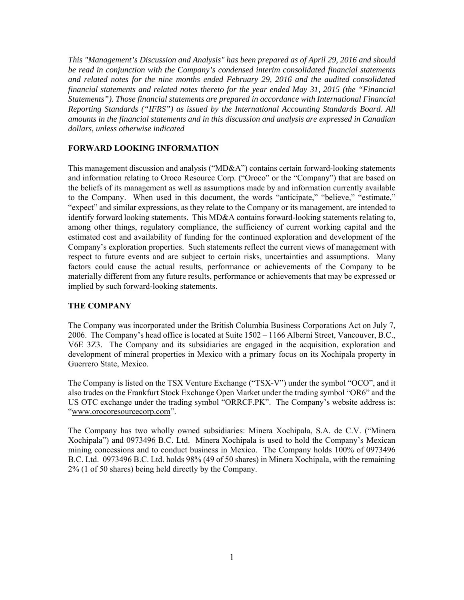*This "Management's Discussion and Analysis" has been prepared as of April 29, 2016 and should be read in conjunction with the Company's condensed interim consolidated financial statements and related notes for the nine months ended February 29, 2016 and the audited consolidated financial statements and related notes thereto for the year ended May 31, 2015 (the "Financial Statements"). Those financial statements are prepared in accordance with International Financial Reporting Standards ("IFRS") as issued by the International Accounting Standards Board. All amounts in the financial statements and in this discussion and analysis are expressed in Canadian dollars, unless otherwise indicated* 

## **FORWARD LOOKING INFORMATION**

This management discussion and analysis ("MD&A") contains certain forward-looking statements and information relating to Oroco Resource Corp. ("Oroco" or the "Company") that are based on the beliefs of its management as well as assumptions made by and information currently available to the Company. When used in this document, the words "anticipate," "believe," "estimate," "expect" and similar expressions, as they relate to the Company or its management, are intended to identify forward looking statements. This MD&A contains forward-looking statements relating to, among other things, regulatory compliance, the sufficiency of current working capital and the estimated cost and availability of funding for the continued exploration and development of the Company's exploration properties. Such statements reflect the current views of management with respect to future events and are subject to certain risks, uncertainties and assumptions. Many factors could cause the actual results, performance or achievements of the Company to be materially different from any future results, performance or achievements that may be expressed or implied by such forward-looking statements.

## **THE COMPANY**

The Company was incorporated under the British Columbia Business Corporations Act on July 7, 2006. The Company's head office is located at Suite 1502 – 1166 Alberni Street, Vancouver, B.C., V6E 3Z3. The Company and its subsidiaries are engaged in the acquisition, exploration and development of mineral properties in Mexico with a primary focus on its Xochipala property in Guerrero State, Mexico.

The Company is listed on the TSX Venture Exchange ("TSX-V") under the symbol "OCO", and it also trades on the Frankfurt Stock Exchange Open Market under the trading symbol "OR6" and the US OTC exchange under the trading symbol "ORRCF.PK". The Company's website address is: "www.orocoresourcecorp.com".

The Company has two wholly owned subsidiaries: Minera Xochipala, S.A. de C.V. ("Minera Xochipala") and 0973496 B.C. Ltd. Minera Xochipala is used to hold the Company's Mexican mining concessions and to conduct business in Mexico. The Company holds 100% of 0973496 B.C. Ltd. 0973496 B.C. Ltd. holds 98% (49 of 50 shares) in Minera Xochipala, with the remaining 2% (1 of 50 shares) being held directly by the Company.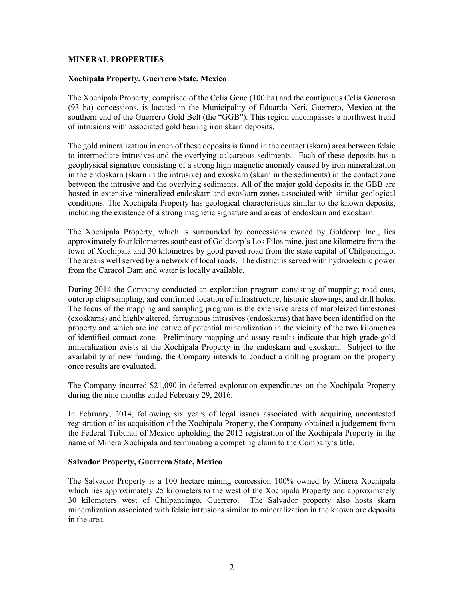#### **MINERAL PROPERTIES**

#### **Xochipala Property, Guerrero State, Mexico**

The Xochipala Property, comprised of the Celia Gene (100 ha) and the contiguous Celia Generosa (93 ha) concessions, is located in the Municipality of Eduardo Neri, Guerrero, Mexico at the southern end of the Guerrero Gold Belt (the "GGB"). This region encompasses a northwest trend of intrusions with associated gold bearing iron skarn deposits.

The gold mineralization in each of these deposits is found in the contact (skarn) area between felsic to intermediate intrusives and the overlying calcareous sediments. Each of these deposits has a geophysical signature consisting of a strong high magnetic anomaly caused by iron mineralization in the endoskarn (skarn in the intrusive) and exoskarn (skarn in the sediments) in the contact zone between the intrusive and the overlying sediments. All of the major gold deposits in the GBB are hosted in extensive mineralized endoskarn and exoskarn zones associated with similar geological conditions. The Xochipala Property has geological characteristics similar to the known deposits, including the existence of a strong magnetic signature and areas of endoskarn and exoskarn.

The Xochipala Property, which is surrounded by concessions owned by Goldcorp Inc., lies approximately four kilometres southeast of Goldcorp's Los Filos mine, just one kilometre from the town of Xochipala and 30 kilometres by good paved road from the state capital of Chilpancingo. The area is well served by a network of local roads. The district is served with hydroelectric power from the Caracol Dam and water is locally available.

During 2014 the Company conducted an exploration program consisting of mapping; road cuts, outcrop chip sampling, and confirmed location of infrastructure, historic showings, and drill holes. The focus of the mapping and sampling program is the extensive areas of marbleized limestones (exoskarns) and highly altered, ferruginous intrusives (endoskarns) that have been identified on the property and which are indicative of potential mineralization in the vicinity of the two kilometres of identified contact zone. Preliminary mapping and assay results indicate that high grade gold mineralization exists at the Xochipala Property in the endoskarn and exoskarn. Subject to the availability of new funding, the Company intends to conduct a drilling program on the property once results are evaluated.

The Company incurred \$21,090 in deferred exploration expenditures on the Xochipala Property during the nine months ended February 29, 2016.

In February, 2014, following six years of legal issues associated with acquiring uncontested registration of its acquisition of the Xochipala Property, the Company obtained a judgement from the Federal Tribunal of Mexico upholding the 2012 registration of the Xochipala Property in the name of Minera Xochipala and terminating a competing claim to the Company's title.

#### **Salvador Property, Guerrero State, Mexico**

The Salvador Property is a 100 hectare mining concession 100% owned by Minera Xochipala which lies approximately 25 kilometers to the west of the Xochipala Property and approximately 30 kilometers west of Chilpancingo, Guerrero. The Salvador property also hosts skarn mineralization associated with felsic intrusions similar to mineralization in the known ore deposits in the area.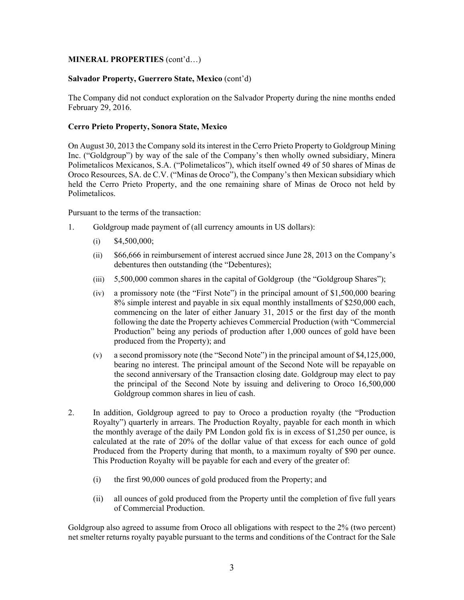## **MINERAL PROPERTIES** (cont'd…)

## **Salvador Property, Guerrero State, Mexico** (cont'd)

The Company did not conduct exploration on the Salvador Property during the nine months ended February 29, 2016.

## **Cerro Prieto Property, Sonora State, Mexico**

On August 30, 2013 the Company sold its interest in the Cerro Prieto Property to Goldgroup Mining Inc. ("Goldgroup") by way of the sale of the Company's then wholly owned subsidiary, Minera Polimetalicos Mexicanos, S.A. ("Polimetalicos"), which itself owned 49 of 50 shares of Minas de Oroco Resources, SA. de C.V. ("Minas de Oroco"), the Company's then Mexican subsidiary which held the Cerro Prieto Property, and the one remaining share of Minas de Oroco not held by Polimetalicos.

Pursuant to the terms of the transaction:

- 1. Goldgroup made payment of (all currency amounts in US dollars):
	- $(i)$  \$4,500,000;
	- (ii) \$66,666 in reimbursement of interest accrued since June 28, 2013 on the Company's debentures then outstanding (the "Debentures);
	- (iii) 5,500,000 common shares in the capital of Goldgroup (the "Goldgroup Shares");
	- (iv) a promissory note (the "First Note") in the principal amount of \$1,500,000 bearing 8% simple interest and payable in six equal monthly installments of \$250,000 each, commencing on the later of either January 31, 2015 or the first day of the month following the date the Property achieves Commercial Production (with "Commercial Production" being any periods of production after 1,000 ounces of gold have been produced from the Property); and
	- (v) a second promissory note (the "Second Note") in the principal amount of \$4,125,000, bearing no interest. The principal amount of the Second Note will be repayable on the second anniversary of the Transaction closing date. Goldgroup may elect to pay the principal of the Second Note by issuing and delivering to Oroco 16,500,000 Goldgroup common shares in lieu of cash.
- 2. In addition, Goldgroup agreed to pay to Oroco a production royalty (the "Production Royalty") quarterly in arrears. The Production Royalty, payable for each month in which the monthly average of the daily PM London gold fix is in excess of \$1,250 per ounce, is calculated at the rate of 20% of the dollar value of that excess for each ounce of gold Produced from the Property during that month, to a maximum royalty of \$90 per ounce. This Production Royalty will be payable for each and every of the greater of:
	- (i) the first 90,000 ounces of gold produced from the Property; and
	- (ii) all ounces of gold produced from the Property until the completion of five full years of Commercial Production.

Goldgroup also agreed to assume from Oroco all obligations with respect to the 2% (two percent) net smelter returns royalty payable pursuant to the terms and conditions of the Contract for the Sale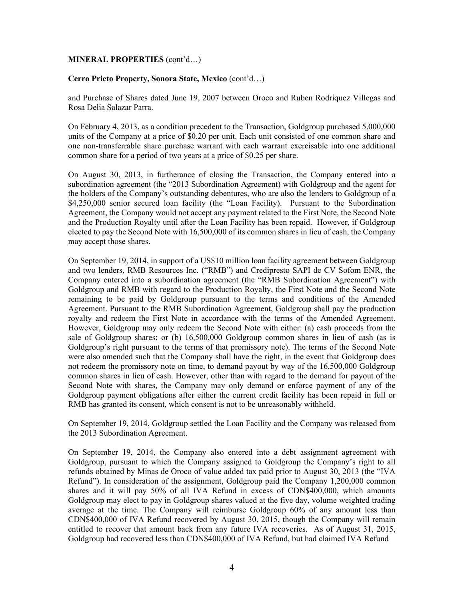#### **MINERAL PROPERTIES** (cont'd…)

#### **Cerro Prieto Property, Sonora State, Mexico** (cont'd…)

and Purchase of Shares dated June 19, 2007 between Oroco and Ruben Rodriquez Villegas and Rosa Delia Salazar Parra.

On February 4, 2013, as a condition precedent to the Transaction, Goldgroup purchased 5,000,000 units of the Company at a price of \$0.20 per unit. Each unit consisted of one common share and one non-transferrable share purchase warrant with each warrant exercisable into one additional common share for a period of two years at a price of \$0.25 per share.

On August 30, 2013, in furtherance of closing the Transaction, the Company entered into a subordination agreement (the "2013 Subordination Agreement) with Goldgroup and the agent for the holders of the Company's outstanding debentures, who are also the lenders to Goldgroup of a \$4,250,000 senior secured loan facility (the "Loan Facility). Pursuant to the Subordination Agreement, the Company would not accept any payment related to the First Note, the Second Note and the Production Royalty until after the Loan Facility has been repaid. However, if Goldgroup elected to pay the Second Note with 16,500,000 of its common shares in lieu of cash, the Company may accept those shares.

On September 19, 2014, in support of a US\$10 million loan facility agreement between Goldgroup and two lenders, RMB Resources Inc. ("RMB") and Credipresto SAPI de CV Sofom ENR, the Company entered into a subordination agreement (the "RMB Subordination Agreement") with Goldgroup and RMB with regard to the Production Royalty, the First Note and the Second Note remaining to be paid by Goldgroup pursuant to the terms and conditions of the Amended Agreement. Pursuant to the RMB Subordination Agreement, Goldgroup shall pay the production royalty and redeem the First Note in accordance with the terms of the Amended Agreement. However, Goldgroup may only redeem the Second Note with either: (a) cash proceeds from the sale of Goldgroup shares; or (b) 16,500,000 Goldgroup common shares in lieu of cash (as is Goldgroup's right pursuant to the terms of that promissory note). The terms of the Second Note were also amended such that the Company shall have the right, in the event that Goldgroup does not redeem the promissory note on time, to demand payout by way of the 16,500,000 Goldgroup common shares in lieu of cash. However, other than with regard to the demand for payout of the Second Note with shares, the Company may only demand or enforce payment of any of the Goldgroup payment obligations after either the current credit facility has been repaid in full or RMB has granted its consent, which consent is not to be unreasonably withheld.

On September 19, 2014, Goldgroup settled the Loan Facility and the Company was released from the 2013 Subordination Agreement.

On September 19, 2014, the Company also entered into a debt assignment agreement with Goldgroup, pursuant to which the Company assigned to Goldgroup the Company's right to all refunds obtained by Minas de Oroco of value added tax paid prior to August 30, 2013 (the "IVA Refund"). In consideration of the assignment, Goldgroup paid the Company 1,200,000 common shares and it will pay 50% of all IVA Refund in excess of CDN\$400,000, which amounts Goldgroup may elect to pay in Goldgroup shares valued at the five day, volume weighted trading average at the time. The Company will reimburse Goldgroup 60% of any amount less than CDN\$400,000 of IVA Refund recovered by August 30, 2015, though the Company will remain entitled to recover that amount back from any future IVA recoveries. As of August 31, 2015, Goldgroup had recovered less than CDN\$400,000 of IVA Refund, but had claimed IVA Refund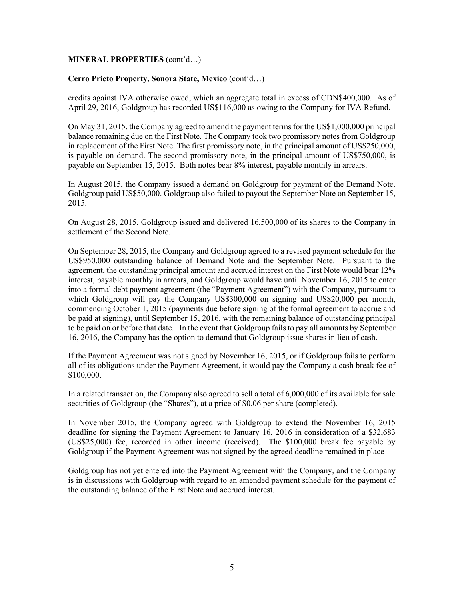## **MINERAL PROPERTIES** (cont'd…)

#### **Cerro Prieto Property, Sonora State, Mexico** (cont'd…)

credits against IVA otherwise owed, which an aggregate total in excess of CDN\$400,000. As of April 29, 2016, Goldgroup has recorded US\$116,000 as owing to the Company for IVA Refund.

On May 31, 2015, the Company agreed to amend the payment terms for the US\$1,000,000 principal balance remaining due on the First Note. The Company took two promissory notes from Goldgroup in replacement of the First Note. The first promissory note, in the principal amount of US\$250,000, is payable on demand. The second promissory note, in the principal amount of US\$750,000, is payable on September 15, 2015. Both notes bear 8% interest, payable monthly in arrears.

In August 2015, the Company issued a demand on Goldgroup for payment of the Demand Note. Goldgroup paid US\$50,000. Goldgroup also failed to payout the September Note on September 15, 2015.

On August 28, 2015, Goldgroup issued and delivered 16,500,000 of its shares to the Company in settlement of the Second Note.

On September 28, 2015, the Company and Goldgroup agreed to a revised payment schedule for the US\$950,000 outstanding balance of Demand Note and the September Note. Pursuant to the agreement, the outstanding principal amount and accrued interest on the First Note would bear 12% interest, payable monthly in arrears, and Goldgroup would have until November 16, 2015 to enter into a formal debt payment agreement (the "Payment Agreement") with the Company, pursuant to which Goldgroup will pay the Company US\$300,000 on signing and US\$20,000 per month, commencing October 1, 2015 (payments due before signing of the formal agreement to accrue and be paid at signing), until September 15, 2016, with the remaining balance of outstanding principal to be paid on or before that date. In the event that Goldgroup fails to pay all amounts by September 16, 2016, the Company has the option to demand that Goldgroup issue shares in lieu of cash.

If the Payment Agreement was not signed by November 16, 2015, or if Goldgroup fails to perform all of its obligations under the Payment Agreement, it would pay the Company a cash break fee of \$100,000.

In a related transaction, the Company also agreed to sell a total of 6,000,000 of its available for sale securities of Goldgroup (the "Shares"), at a price of \$0.06 per share (completed).

In November 2015, the Company agreed with Goldgroup to extend the November 16, 2015 deadline for signing the Payment Agreement to January 16, 2016 in consideration of a \$32,683 (US\$25,000) fee, recorded in other income (received). The \$100,000 break fee payable by Goldgroup if the Payment Agreement was not signed by the agreed deadline remained in place

Goldgroup has not yet entered into the Payment Agreement with the Company, and the Company is in discussions with Goldgroup with regard to an amended payment schedule for the payment of the outstanding balance of the First Note and accrued interest.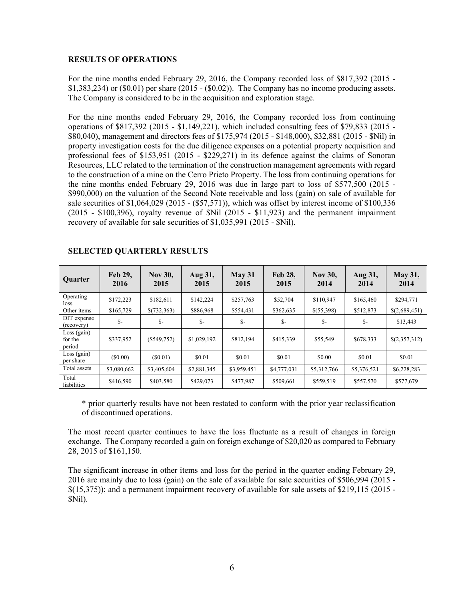#### **RESULTS OF OPERATIONS**

For the nine months ended February 29, 2016, the Company recorded loss of \$817,392 (2015 - \$1,383,234) or (\$0.01) per share (2015 - (\$0.02)). The Company has no income producing assets. The Company is considered to be in the acquisition and exploration stage.

For the nine months ended February 29, 2016, the Company recorded loss from continuing operations of \$817,392 (2015 - \$1,149,221), which included consulting fees of \$79,833 (2015 - \$80,040), management and directors fees of \$175,974 (2015 - \$148,000), \$32,881 (2015 - \$Nil) in property investigation costs for the due diligence expenses on a potential property acquisition and professional fees of \$153,951 (2015 - \$229,271) in its defence against the claims of Sonoran Resources, LLC related to the termination of the construction management agreements with regard to the construction of a mine on the Cerro Prieto Property. The loss from continuing operations for the nine months ended February 29, 2016 was due in large part to loss of \$577,500 (2015 - \$990,000) on the valuation of the Second Note receivable and loss (gain) on sale of available for sale securities of \$1,064,029 (2015 - (\$57,571)), which was offset by interest income of \$100,336 (2015 - \$100,396), royalty revenue of \$Nil (2015 - \$11,923) and the permanent impairment recovery of available for sale securities of \$1,035,991 (2015 - \$Nil).

| <b>Ouarter</b>                     | Feb 29,<br>2016 | <b>Nov 30,</b><br>2015 | Aug 31,<br>2015 | $M$ ay 31<br>2015 | <b>Feb 28.</b><br>2015 | <b>Nov 30,</b><br>2014 | Aug 31,<br>2014 | <b>May 31,</b><br>2014 |
|------------------------------------|-----------------|------------------------|-----------------|-------------------|------------------------|------------------------|-----------------|------------------------|
| Operating<br>loss                  | \$172,223       | \$182,611              | \$142,224       | \$257,763         | \$52,704               | \$110,947              | \$165,460       | \$294,771              |
| Other items                        | \$165,729       | \$(732,363)            | \$886,968       | \$554.431         | \$362,635              | \$(55,398)             | \$512,873       | \$(2,689,451)          |
| DIT expense<br>(recovery)          | $S-$            | $S-$                   | $S-$            | $S-$              | $S-$                   | $S-$                   | $S-$            | \$13,443               |
| $Loss$ (gain)<br>for the<br>period | \$337,952       | $(\$549,752)$          | \$1,029,192     | \$812,194         | \$415,339              | \$55,549               | \$678,333       | \$(2,357,312)          |
| $Loss$ (gain)<br>per share         | (S0.00)         | (S0.01)                | \$0.01          | \$0.01            | \$0.01                 | \$0.00                 | \$0.01          | \$0.01                 |
| Total assets                       | \$3,080,662     | \$3,405,604            | \$2,881,345     | \$3,959,451       | \$4,777,031            | \$5,312,766            | \$5,376,521     | \$6,228,283            |
| Total<br>liabilities               | \$416,590       | \$403,580              | \$429,073       | \$477,987         | \$509,661              | \$559,519              | \$557,570       | \$577,679              |

## **SELECTED QUARTERLY RESULTS**

\* prior quarterly results have not been restated to conform with the prior year reclassification of discontinued operations.

The most recent quarter continues to have the loss fluctuate as a result of changes in foreign exchange. The Company recorded a gain on foreign exchange of \$20,020 as compared to February 28, 2015 of \$161,150.

The significant increase in other items and loss for the period in the quarter ending February 29, 2016 are mainly due to loss (gain) on the sale of available for sale securities of \$506,994 (2015 - \$(15,375)); and a permanent impairment recovery of available for sale assets of \$219,115 (2015 - \$Nil).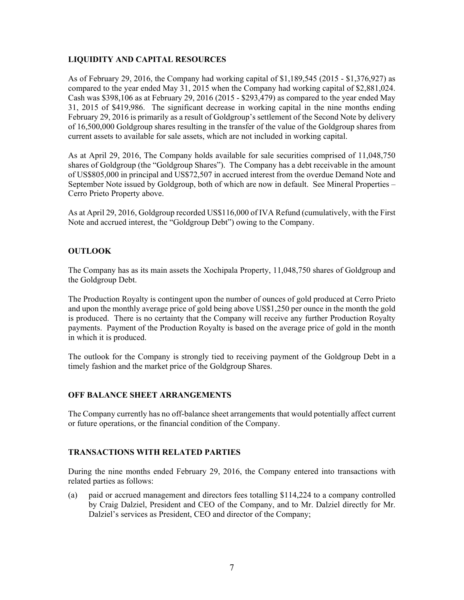## **LIQUIDITY AND CAPITAL RESOURCES**

As of February 29, 2016, the Company had working capital of \$1,189,545 (2015 - \$1,376,927) as compared to the year ended May 31, 2015 when the Company had working capital of \$2,881,024. Cash was \$398,106 as at February 29, 2016 (2015 - \$293,479) as compared to the year ended May 31, 2015 of \$419,986. The significant decrease in working capital in the nine months ending February 29, 2016 is primarily as a result of Goldgroup's settlement of the Second Note by delivery of 16,500,000 Goldgroup shares resulting in the transfer of the value of the Goldgroup shares from current assets to available for sale assets, which are not included in working capital.

As at April 29, 2016, The Company holds available for sale securities comprised of 11,048,750 shares of Goldgroup (the "Goldgroup Shares"). The Company has a debt receivable in the amount of US\$805,000 in principal and US\$72,507 in accrued interest from the overdue Demand Note and September Note issued by Goldgroup, both of which are now in default. See Mineral Properties – Cerro Prieto Property above.

As at April 29, 2016, Goldgroup recorded US\$116,000 of IVA Refund (cumulatively, with the First Note and accrued interest, the "Goldgroup Debt") owing to the Company.

# **OUTLOOK**

The Company has as its main assets the Xochipala Property, 11,048,750 shares of Goldgroup and the Goldgroup Debt.

The Production Royalty is contingent upon the number of ounces of gold produced at Cerro Prieto and upon the monthly average price of gold being above US\$1,250 per ounce in the month the gold is produced. There is no certainty that the Company will receive any further Production Royalty payments. Payment of the Production Royalty is based on the average price of gold in the month in which it is produced.

The outlook for the Company is strongly tied to receiving payment of the Goldgroup Debt in a timely fashion and the market price of the Goldgroup Shares.

## **OFF BALANCE SHEET ARRANGEMENTS**

The Company currently has no off-balance sheet arrangements that would potentially affect current or future operations, or the financial condition of the Company.

## **TRANSACTIONS WITH RELATED PARTIES**

During the nine months ended February 29, 2016, the Company entered into transactions with related parties as follows:

(a) paid or accrued management and directors fees totalling \$114,224 to a company controlled by Craig Dalziel, President and CEO of the Company, and to Mr. Dalziel directly for Mr. Dalziel's services as President, CEO and director of the Company;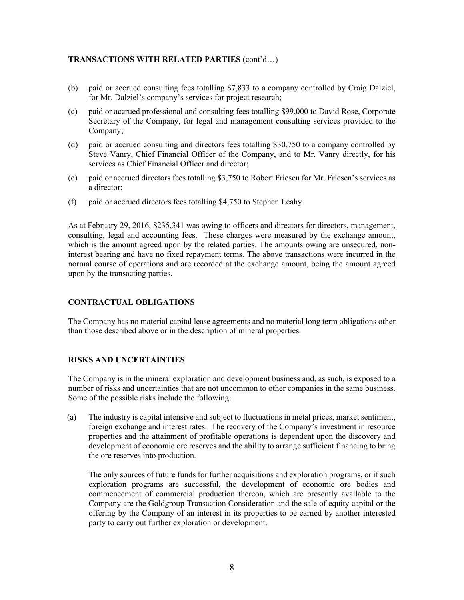# **TRANSACTIONS WITH RELATED PARTIES** (cont'd…)

- (b) paid or accrued consulting fees totalling \$7,833 to a company controlled by Craig Dalziel, for Mr. Dalziel's company's services for project research;
- (c) paid or accrued professional and consulting fees totalling \$99,000 to David Rose, Corporate Secretary of the Company, for legal and management consulting services provided to the Company;
- (d) paid or accrued consulting and directors fees totalling \$30,750 to a company controlled by Steve Vanry, Chief Financial Officer of the Company, and to Mr. Vanry directly, for his services as Chief Financial Officer and director;
- (e) paid or accrued directors fees totalling \$3,750 to Robert Friesen for Mr. Friesen's services as a director;
- (f) paid or accrued directors fees totalling \$4,750 to Stephen Leahy.

As at February 29, 2016, \$235,341 was owing to officers and directors for directors, management, consulting, legal and accounting fees. These charges were measured by the exchange amount, which is the amount agreed upon by the related parties. The amounts owing are unsecured, noninterest bearing and have no fixed repayment terms. The above transactions were incurred in the normal course of operations and are recorded at the exchange amount, being the amount agreed upon by the transacting parties.

## **CONTRACTUAL OBLIGATIONS**

The Company has no material capital lease agreements and no material long term obligations other than those described above or in the description of mineral properties.

## **RISKS AND UNCERTAINTIES**

The Company is in the mineral exploration and development business and, as such, is exposed to a number of risks and uncertainties that are not uncommon to other companies in the same business. Some of the possible risks include the following:

(a) The industry is capital intensive and subject to fluctuations in metal prices, market sentiment, foreign exchange and interest rates. The recovery of the Company's investment in resource properties and the attainment of profitable operations is dependent upon the discovery and development of economic ore reserves and the ability to arrange sufficient financing to bring the ore reserves into production.

The only sources of future funds for further acquisitions and exploration programs, or if such exploration programs are successful, the development of economic ore bodies and commencement of commercial production thereon, which are presently available to the Company are the Goldgroup Transaction Consideration and the sale of equity capital or the offering by the Company of an interest in its properties to be earned by another interested party to carry out further exploration or development.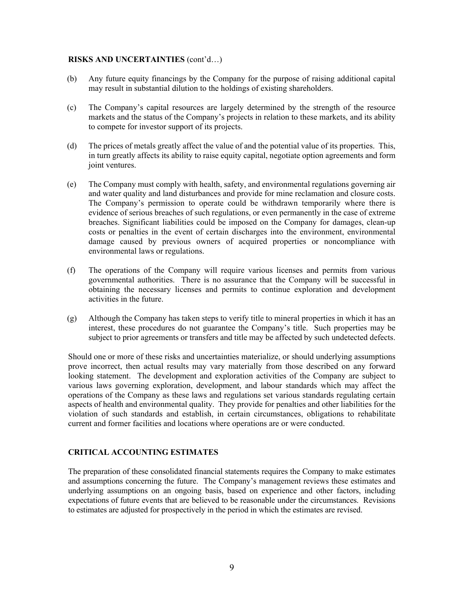#### **RISKS AND UNCERTAINTIES** (cont'd…)

- (b) Any future equity financings by the Company for the purpose of raising additional capital may result in substantial dilution to the holdings of existing shareholders.
- (c) The Company's capital resources are largely determined by the strength of the resource markets and the status of the Company's projects in relation to these markets, and its ability to compete for investor support of its projects.
- (d) The prices of metals greatly affect the value of and the potential value of its properties. This, in turn greatly affects its ability to raise equity capital, negotiate option agreements and form joint ventures.
- (e) The Company must comply with health, safety, and environmental regulations governing air and water quality and land disturbances and provide for mine reclamation and closure costs. The Company's permission to operate could be withdrawn temporarily where there is evidence of serious breaches of such regulations, or even permanently in the case of extreme breaches. Significant liabilities could be imposed on the Company for damages, clean-up costs or penalties in the event of certain discharges into the environment, environmental damage caused by previous owners of acquired properties or noncompliance with environmental laws or regulations.
- (f) The operations of the Company will require various licenses and permits from various governmental authorities. There is no assurance that the Company will be successful in obtaining the necessary licenses and permits to continue exploration and development activities in the future.
- (g) Although the Company has taken steps to verify title to mineral properties in which it has an interest, these procedures do not guarantee the Company's title. Such properties may be subject to prior agreements or transfers and title may be affected by such undetected defects.

Should one or more of these risks and uncertainties materialize, or should underlying assumptions prove incorrect, then actual results may vary materially from those described on any forward looking statement. The development and exploration activities of the Company are subject to various laws governing exploration, development, and labour standards which may affect the operations of the Company as these laws and regulations set various standards regulating certain aspects of health and environmental quality. They provide for penalties and other liabilities for the violation of such standards and establish, in certain circumstances, obligations to rehabilitate current and former facilities and locations where operations are or were conducted.

## **CRITICAL ACCOUNTING ESTIMATES**

The preparation of these consolidated financial statements requires the Company to make estimates and assumptions concerning the future. The Company's management reviews these estimates and underlying assumptions on an ongoing basis, based on experience and other factors, including expectations of future events that are believed to be reasonable under the circumstances. Revisions to estimates are adjusted for prospectively in the period in which the estimates are revised.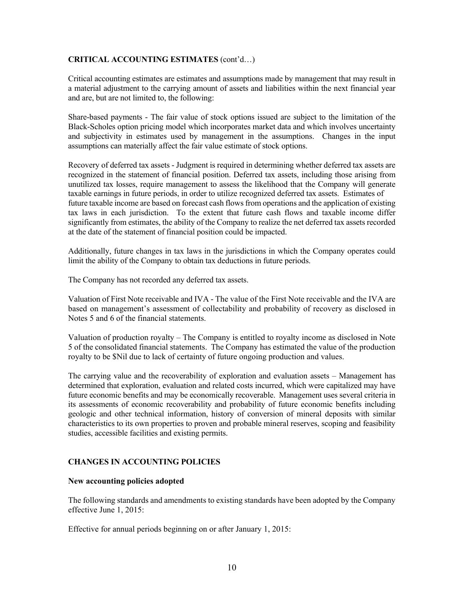## **CRITICAL ACCOUNTING ESTIMATES** (cont'd…)

Critical accounting estimates are estimates and assumptions made by management that may result in a material adjustment to the carrying amount of assets and liabilities within the next financial year and are, but are not limited to, the following:

Share-based payments - The fair value of stock options issued are subject to the limitation of the Black-Scholes option pricing model which incorporates market data and which involves uncertainty and subjectivity in estimates used by management in the assumptions. Changes in the input assumptions can materially affect the fair value estimate of stock options.

Recovery of deferred tax assets - Judgment is required in determining whether deferred tax assets are recognized in the statement of financial position. Deferred tax assets, including those arising from unutilized tax losses, require management to assess the likelihood that the Company will generate taxable earnings in future periods, in order to utilize recognized deferred tax assets. Estimates of future taxable income are based on forecast cash flows from operations and the application of existing tax laws in each jurisdiction. To the extent that future cash flows and taxable income differ significantly from estimates, the ability of the Company to realize the net deferred tax assets recorded at the date of the statement of financial position could be impacted.

Additionally, future changes in tax laws in the jurisdictions in which the Company operates could limit the ability of the Company to obtain tax deductions in future periods.

The Company has not recorded any deferred tax assets.

Valuation of First Note receivable and IVA - The value of the First Note receivable and the IVA are based on management's assessment of collectability and probability of recovery as disclosed in Notes 5 and 6 of the financial statements.

Valuation of production royalty – The Company is entitled to royalty income as disclosed in Note 5 of the consolidated financial statements. The Company has estimated the value of the production royalty to be \$Nil due to lack of certainty of future ongoing production and values.

The carrying value and the recoverability of exploration and evaluation assets – Management has determined that exploration, evaluation and related costs incurred, which were capitalized may have future economic benefits and may be economically recoverable. Management uses several criteria in its assessments of economic recoverability and probability of future economic benefits including geologic and other technical information, history of conversion of mineral deposits with similar characteristics to its own properties to proven and probable mineral reserves, scoping and feasibility studies, accessible facilities and existing permits.

# **CHANGES IN ACCOUNTING POLICIES**

## **New accounting policies adopted**

The following standards and amendments to existing standards have been adopted by the Company effective June 1, 2015:

Effective for annual periods beginning on or after January 1, 2015: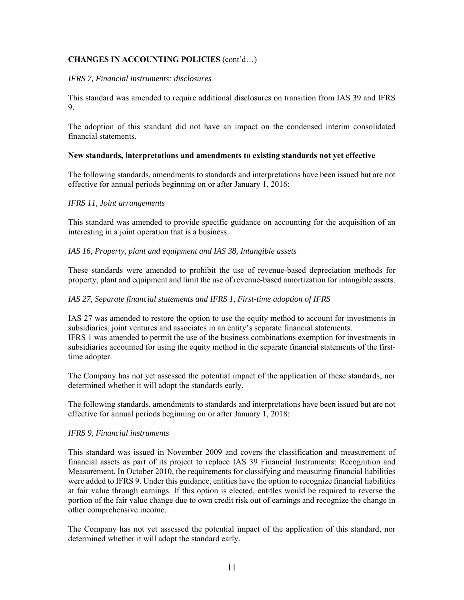# **CHANGES IN ACCOUNTING POLICIES** (cont'd…)

#### *IFRS 7, Financial instruments: disclosures*

This standard was amended to require additional disclosures on transition from IAS 39 and IFRS 9.

The adoption of this standard did not have an impact on the condensed interim consolidated financial statements.

#### **New standards, interpretations and amendments to existing standards not yet effective**

The following standards, amendments to standards and interpretations have been issued but are not effective for annual periods beginning on or after January 1, 2016:

#### *IFRS 11, Joint arrangements*

This standard was amended to provide specific guidance on accounting for the acquisition of an interesting in a joint operation that is a business.

#### *IAS 16, Property, plant and equipment and IAS 38, Intangible assets*

These standards were amended to prohibit the use of revenue-based depreciation methods for property, plant and equipment and limit the use of revenue-based amortization for intangible assets.

#### *IAS 27, Separate financial statements and IFRS 1, First-time adoption of IFRS*

IAS 27 was amended to restore the option to use the equity method to account for investments in subsidiaries, joint ventures and associates in an entity's separate financial statements. IFRS 1 was amended to permit the use of the business combinations exemption for investments in subsidiaries accounted for using the equity method in the separate financial statements of the firsttime adopter.

The Company has not yet assessed the potential impact of the application of these standards, nor determined whether it will adopt the standards early.

The following standards, amendments to standards and interpretations have been issued but are not effective for annual periods beginning on or after January 1, 2018:

## *IFRS 9, Financial instruments*

This standard was issued in November 2009 and covers the classification and measurement of financial assets as part of its project to replace IAS 39 Financial Instruments: Recognition and Measurement. In October 2010, the requirements for classifying and measuring financial liabilities were added to IFRS 9. Under this guidance, entities have the option to recognize financial liabilities at fair value through earnings. If this option is elected, entitles would be required to reverse the portion of the fair value change due to own credit risk out of earnings and recognize the change in other comprehensive income.

The Company has not yet assessed the potential impact of the application of this standard, nor determined whether it will adopt the standard early.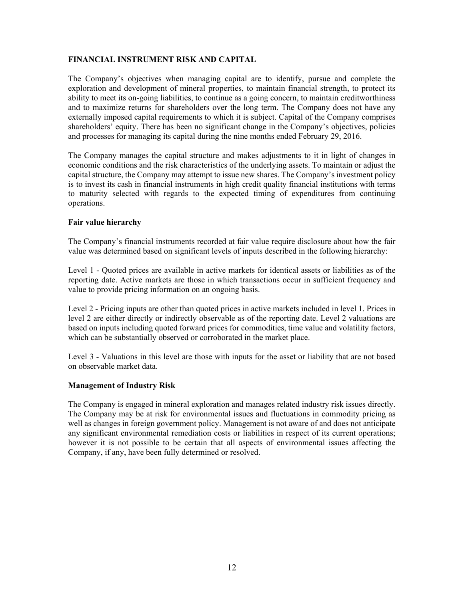## **FINANCIAL INSTRUMENT RISK AND CAPITAL**

The Company's objectives when managing capital are to identify, pursue and complete the exploration and development of mineral properties, to maintain financial strength, to protect its ability to meet its on-going liabilities, to continue as a going concern, to maintain creditworthiness and to maximize returns for shareholders over the long term. The Company does not have any externally imposed capital requirements to which it is subject. Capital of the Company comprises shareholders' equity. There has been no significant change in the Company's objectives, policies and processes for managing its capital during the nine months ended February 29, 2016.

The Company manages the capital structure and makes adjustments to it in light of changes in economic conditions and the risk characteristics of the underlying assets. To maintain or adjust the capital structure, the Company may attempt to issue new shares. The Company's investment policy is to invest its cash in financial instruments in high credit quality financial institutions with terms to maturity selected with regards to the expected timing of expenditures from continuing operations.

## **Fair value hierarchy**

The Company's financial instruments recorded at fair value require disclosure about how the fair value was determined based on significant levels of inputs described in the following hierarchy:

Level 1 - Quoted prices are available in active markets for identical assets or liabilities as of the reporting date. Active markets are those in which transactions occur in sufficient frequency and value to provide pricing information on an ongoing basis.

Level 2 - Pricing inputs are other than quoted prices in active markets included in level 1. Prices in level 2 are either directly or indirectly observable as of the reporting date. Level 2 valuations are based on inputs including quoted forward prices for commodities, time value and volatility factors, which can be substantially observed or corroborated in the market place.

Level 3 - Valuations in this level are those with inputs for the asset or liability that are not based on observable market data.

## **Management of Industry Risk**

The Company is engaged in mineral exploration and manages related industry risk issues directly. The Company may be at risk for environmental issues and fluctuations in commodity pricing as well as changes in foreign government policy. Management is not aware of and does not anticipate any significant environmental remediation costs or liabilities in respect of its current operations; however it is not possible to be certain that all aspects of environmental issues affecting the Company, if any, have been fully determined or resolved.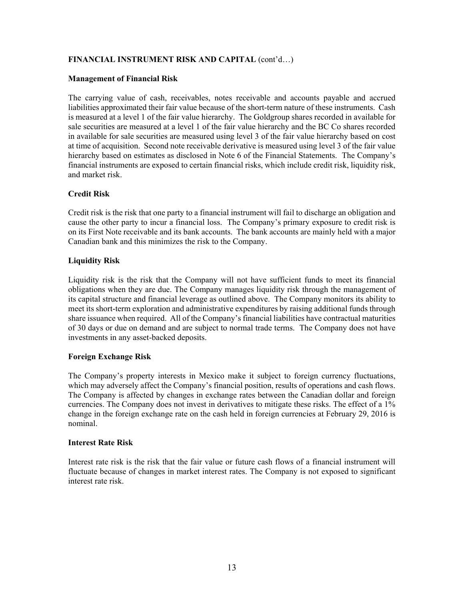# **FINANCIAL INSTRUMENT RISK AND CAPITAL** (cont'd…)

#### **Management of Financial Risk**

The carrying value of cash, receivables, notes receivable and accounts payable and accrued liabilities approximated their fair value because of the short-term nature of these instruments. Cash is measured at a level 1 of the fair value hierarchy. The Goldgroup shares recorded in available for sale securities are measured at a level 1 of the fair value hierarchy and the BC Co shares recorded in available for sale securities are measured using level 3 of the fair value hierarchy based on cost at time of acquisition. Second note receivable derivative is measured using level 3 of the fair value hierarchy based on estimates as disclosed in Note 6 of the Financial Statements. The Company's financial instruments are exposed to certain financial risks, which include credit risk, liquidity risk, and market risk.

# **Credit Risk**

Credit risk is the risk that one party to a financial instrument will fail to discharge an obligation and cause the other party to incur a financial loss. The Company's primary exposure to credit risk is on its First Note receivable and its bank accounts. The bank accounts are mainly held with a major Canadian bank and this minimizes the risk to the Company.

# **Liquidity Risk**

Liquidity risk is the risk that the Company will not have sufficient funds to meet its financial obligations when they are due. The Company manages liquidity risk through the management of its capital structure and financial leverage as outlined above. The Company monitors its ability to meet its short-term exploration and administrative expenditures by raising additional funds through share issuance when required. All of the Company's financial liabilities have contractual maturities of 30 days or due on demand and are subject to normal trade terms. The Company does not have investments in any asset-backed deposits.

## **Foreign Exchange Risk**

The Company's property interests in Mexico make it subject to foreign currency fluctuations, which may adversely affect the Company's financial position, results of operations and cash flows. The Company is affected by changes in exchange rates between the Canadian dollar and foreign currencies. The Company does not invest in derivatives to mitigate these risks. The effect of a 1% change in the foreign exchange rate on the cash held in foreign currencies at February 29, 2016 is nominal.

## **Interest Rate Risk**

Interest rate risk is the risk that the fair value or future cash flows of a financial instrument will fluctuate because of changes in market interest rates. The Company is not exposed to significant interest rate risk.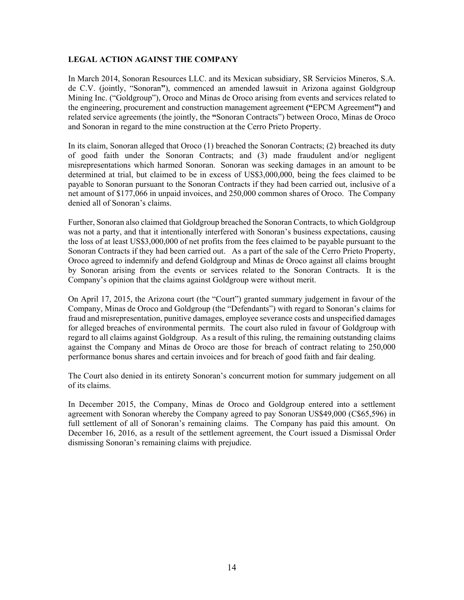#### **LEGAL ACTION AGAINST THE COMPANY**

In March 2014, Sonoran Resources LLC. and its Mexican subsidiary, SR Servicios Mineros, S.A. de C.V. (jointly, "Sonoran**"**), commenced an amended lawsuit in Arizona against Goldgroup Mining Inc. ("Goldgroup"), Oroco and Minas de Oroco arising from events and services related to the engineering, procurement and construction management agreement **("**EPCM Agreement**")** and related service agreements (the jointly, the **"**Sonoran Contracts") between Oroco, Minas de Oroco and Sonoran in regard to the mine construction at the Cerro Prieto Property.

In its claim, Sonoran alleged that Oroco (1) breached the Sonoran Contracts; (2) breached its duty of good faith under the Sonoran Contracts; and (3) made fraudulent and/or negligent misrepresentations which harmed Sonoran. Sonoran was seeking damages in an amount to be determined at trial, but claimed to be in excess of US\$3,000,000, being the fees claimed to be payable to Sonoran pursuant to the Sonoran Contracts if they had been carried out, inclusive of a net amount of \$177,066 in unpaid invoices, and 250,000 common shares of Oroco. The Company denied all of Sonoran's claims.

Further, Sonoran also claimed that Goldgroup breached the Sonoran Contracts, to which Goldgroup was not a party, and that it intentionally interfered with Sonoran's business expectations, causing the loss of at least US\$3,000,000 of net profits from the fees claimed to be payable pursuant to the Sonoran Contracts if they had been carried out. As a part of the sale of the Cerro Prieto Property, Oroco agreed to indemnify and defend Goldgroup and Minas de Oroco against all claims brought by Sonoran arising from the events or services related to the Sonoran Contracts. It is the Company's opinion that the claims against Goldgroup were without merit.

On April 17, 2015, the Arizona court (the "Court") granted summary judgement in favour of the Company, Minas de Oroco and Goldgroup (the "Defendants") with regard to Sonoran's claims for fraud and misrepresentation, punitive damages, employee severance costs and unspecified damages for alleged breaches of environmental permits. The court also ruled in favour of Goldgroup with regard to all claims against Goldgroup. As a result of this ruling, the remaining outstanding claims against the Company and Minas de Oroco are those for breach of contract relating to 250,000 performance bonus shares and certain invoices and for breach of good faith and fair dealing.

The Court also denied in its entirety Sonoran's concurrent motion for summary judgement on all of its claims.

In December 2015, the Company, Minas de Oroco and Goldgroup entered into a settlement agreement with Sonoran whereby the Company agreed to pay Sonoran US\$49,000 (C\$65,596) in full settlement of all of Sonoran's remaining claims. The Company has paid this amount. On December 16, 2016, as a result of the settlement agreement, the Court issued a Dismissal Order dismissing Sonoran's remaining claims with prejudice.